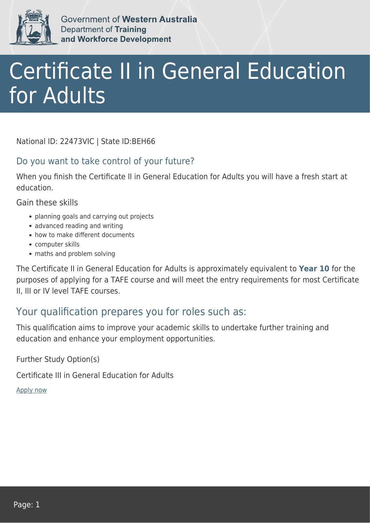

Government of Western Australia **Department of Training** and Workforce Development

## Certificate II in General Education for Adults

National ID: 22473VIC | State ID:BEH66

## Do you want to take control of your future?

When you finish the Certificate II in General Education for Adults you will have a fresh start at education.

Gain these skills

- planning goals and carrying out projects
- advanced reading and writing
- how to make different documents
- computer skills
- maths and problem solving

The Certificate II in General Education for Adults is approximately equivalent to **Year 10** for the purposes of applying for a TAFE course and will meet the entry requirements for most Certificate II, III or IV level TAFE courses.

## Your qualification prepares you for roles such as:

This qualification aims to improve your academic skills to undertake further training and education and enhance your employment opportunities.

Further Study Option(s)

Certificate III in General Education for Adults

[Apply now](https://tasonline.tafe.wa.edu.au/Default.aspx)